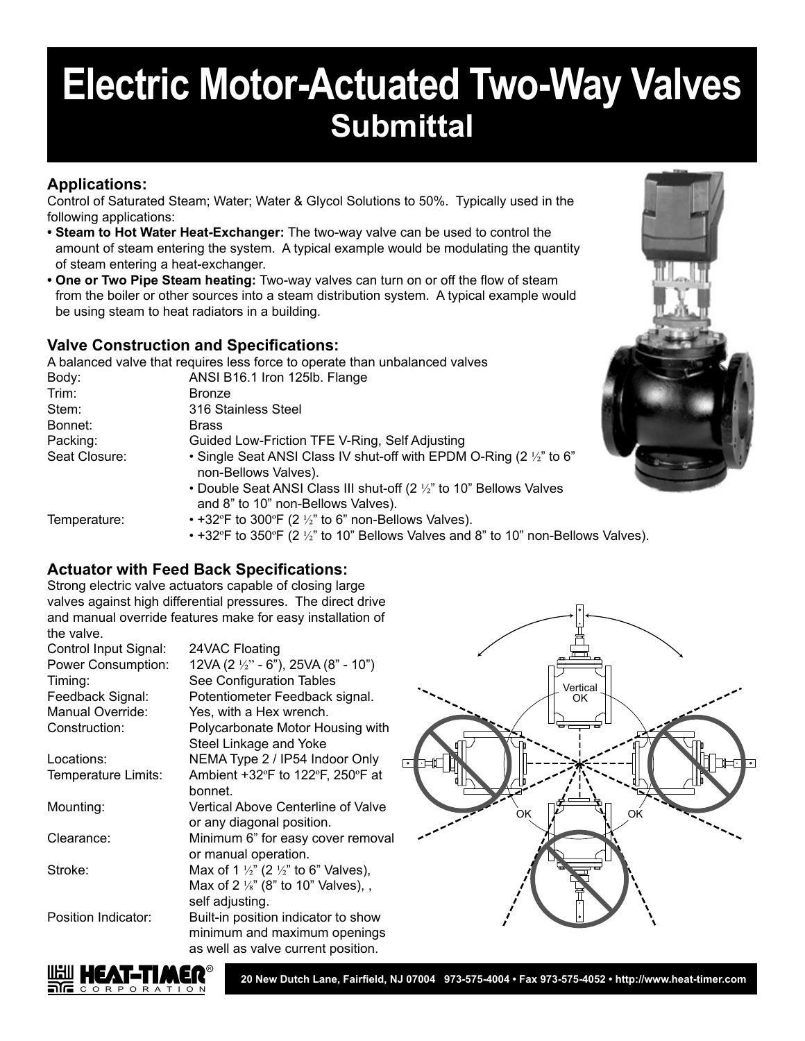# **Electric Motor-Actuated Two-Way Valves Submittal**

### **Applications:**

Control of Saturated Steam; Water; Water & Glycol Solutions to 50%. Typically used in the following applications:

- **Steam to Hot Water Heat-Exchanger:** The two-way valve can be used to control the amount of steam entering the system. A typical example would be modulating the quantity of steam entering a heat-exchanger.
- **One or Two Pipe Steam heating:** Two-way valves can turn on or off the flow of steam from the boiler or other sources into a steam distribution system. A typical example would be using steam to heat radiators in a building.

#### **Valve Construction and Specifications:**

|               | A balanced valve that requires less force to operate than unbalanced valves                        |  |
|---------------|----------------------------------------------------------------------------------------------------|--|
| Body:         | ANSI B16.1 Iron 125lb. Flange                                                                      |  |
| Trim:         | <b>Bronze</b>                                                                                      |  |
| Stem:         | 316 Stainless Steel                                                                                |  |
| Bonnet:       | <b>Brass</b>                                                                                       |  |
| Packing:      | Guided Low-Friction TFE V-Ring, Self Adjusting                                                     |  |
| Seat Closure: | • Single Seat ANSI Class IV shut-off with EPDM O-Ring (2 1/2" to 6"<br>non-Bellows Valves).        |  |
|               | • Double Seat ANSI Class III shut-off (2 1/2" to 10" Bellows Valves                                |  |
|               | and 8" to 10" non-Bellows Valves).                                                                 |  |
| Temperature:  | • +32°F to 300°F (2 $\frac{1}{2}$ " to 6" non-Bellows Valves).                                     |  |
|               | $\cdot$ +32°F to 350°F (2 $\frac{1}{2}$ " to 10" Bellows Valves and 8" to 10" non-Bellows Valves). |  |

#### **Actuator with Feed Back Specifications:**

Strong electric valve actuators capable of closing large valves against high differential pressures. The direct drive and manual override features make for easy installation of the valve.

| uic vaivc.                |                                                            |  |  |  |  |  |  |
|---------------------------|------------------------------------------------------------|--|--|--|--|--|--|
| Control Input Signal:     | 24VAC Floating                                             |  |  |  |  |  |  |
| <b>Power Consumption:</b> | 12VA (2 $\frac{1}{2}$ " - 6"), 25VA (8" - 10")             |  |  |  |  |  |  |
| Timing:                   | See Configuration Tables                                   |  |  |  |  |  |  |
| Feedback Signal:          | Potentiometer Feedback signal.                             |  |  |  |  |  |  |
| Manual Override:          | Yes, with a Hex wrench.                                    |  |  |  |  |  |  |
| Construction:             | Polycarbonate Motor Housing with                           |  |  |  |  |  |  |
|                           | Steel Linkage and Yoke                                     |  |  |  |  |  |  |
| Locations:                | NEMA Type 2 / IP54 Indoor Only                             |  |  |  |  |  |  |
| Temperature Limits:       | Ambient +32°F to 122°F, 250°F at                           |  |  |  |  |  |  |
|                           | bonnet.                                                    |  |  |  |  |  |  |
| Mounting:                 | Vertical Above Centerline of Valve                         |  |  |  |  |  |  |
|                           | or any diagonal position.                                  |  |  |  |  |  |  |
| Clearance:                | Minimum 6" for easy cover removal                          |  |  |  |  |  |  |
|                           | or manual operation.                                       |  |  |  |  |  |  |
| Stroke:                   | Max of 1 $\frac{1}{2}$ " (2 $\frac{1}{2}$ " to 6" Valves), |  |  |  |  |  |  |
|                           | Max of 2 $\frac{1}{8}$ " (8" to 10" Valves), ,             |  |  |  |  |  |  |
|                           | self adjusting.                                            |  |  |  |  |  |  |
| Position Indicator:       | Built-in position indicator to show                        |  |  |  |  |  |  |
|                           | minimum and maximum openings                               |  |  |  |  |  |  |
|                           | as well as valve current position.                         |  |  |  |  |  |  |
|                           |                                                            |  |  |  |  |  |  |





**20 New Dutch Lane, Fairfield, NJ 07004 973-575-4004 • Fax 973-575-4052 • http://www.heat-timer.com**